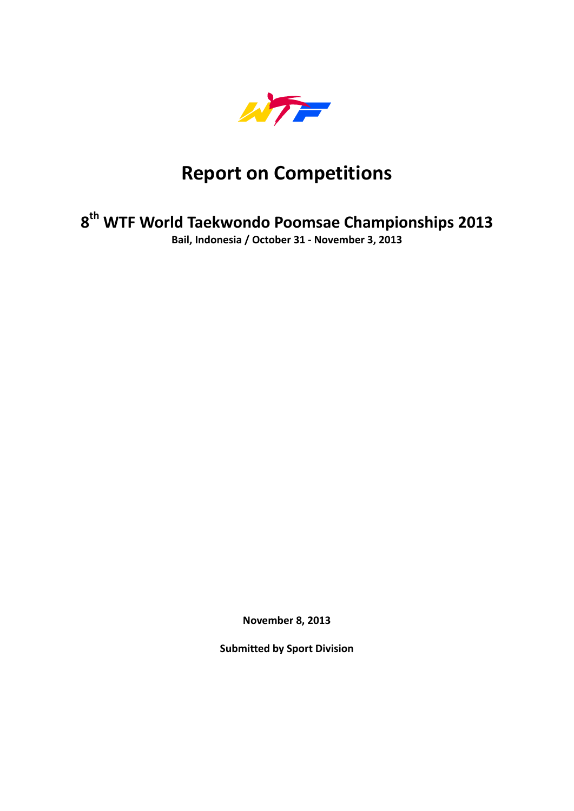

# **Report on Competitions**

# **8th WTF World Taekwondo Poomsae Championships 2013**

**Bail, Indonesia / October 31 ‐ November 3, 2013**

**November 8, 2013**

**Submitted by Sport Division**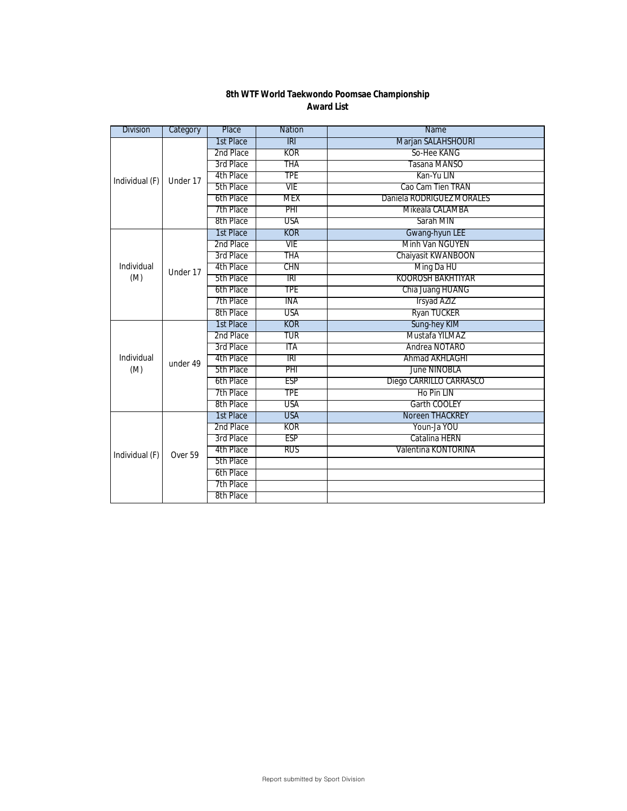| 8th WTF World Taekwondo Poomsae Championship |
|----------------------------------------------|
| Award List                                   |

| <b>Division</b> | Category | Place     | <b>Nation</b> | Name                      |
|-----------------|----------|-----------|---------------|---------------------------|
|                 |          | 1st Place | $R\Gamma$     | Marjan SALAHSHOURI        |
|                 |          | 2nd Place | KOR           | So-Hee KANG               |
|                 |          | 3rd Place | THA           | Tasana MANSO              |
| Individual (F)  | Under 17 | 4th Place | TPE           | Kan-Yu LIN                |
|                 |          | 5th Place | VIE           | Cao Cam Tien TRAN         |
|                 |          | 6th Place | MEX           | Daniela RODRIGUEZ MORALES |
|                 |          | 7th Place | PHI           | Mikeala CALAMBA           |
|                 |          | 8th Place | <b>USA</b>    | Sarah MIN                 |
|                 |          | 1st Place | <b>KOR</b>    | Gwang-hyun LEE            |
|                 |          | 2nd Place | VIE           | <b>Minh Van NGUYEN</b>    |
|                 |          | 3rd Place | THA           | Chaiyasit KWANBOON        |
| Individual      | Under 17 | 4th Place | CHN           | Ming Da HU                |
| (M)             |          | 5th Place | TRI           | <b>KOOROSH BAKHTIYAR</b>  |
|                 |          | 6th Place | TPE           | Chia Juang HUANG          |
|                 |          | 7th Place | ina           | Irsyad AZIZ               |
|                 |          | 8th Place | USA           | Ryan TUCKER               |
|                 | under 49 | 1st Place | <b>KOR</b>    | Sung-hey KIM              |
|                 |          | 2nd Place | TUR           | Mustafa YILMAZ            |
|                 |          | 3rd Place | ITA           | Andrea NOTARO             |
| Individual      |          | 4th Place | IRI           | Ahmad AKHLAGHI            |
| (M)             |          | 5th Place | PHI           | <b>June NINOBLA</b>       |
|                 |          | 6th Place | <b>ESP</b>    | Diego CARRILLO CARRASCO   |
|                 |          | 7th Place | <b>TPE</b>    | Ho Pin LIN                |
|                 |          | 8th Place | USA           | Garth COOLEY              |
|                 |          | 1st Place | <b>USA</b>    | Noreen THACKREY           |
|                 |          | 2nd Place | <b>KOR</b>    | Youn-Ja YOU               |
| Individual (F)  |          | 3rd Place | <b>ESP</b>    | Catalina HERN             |
|                 | Over 59  | 4th Place | <b>RUS</b>    | Valentina KONTORINA       |
|                 |          | 5th Place |               |                           |
|                 |          | 6th Place |               |                           |
|                 |          | 7th Place |               |                           |
|                 |          | 8th Place |               |                           |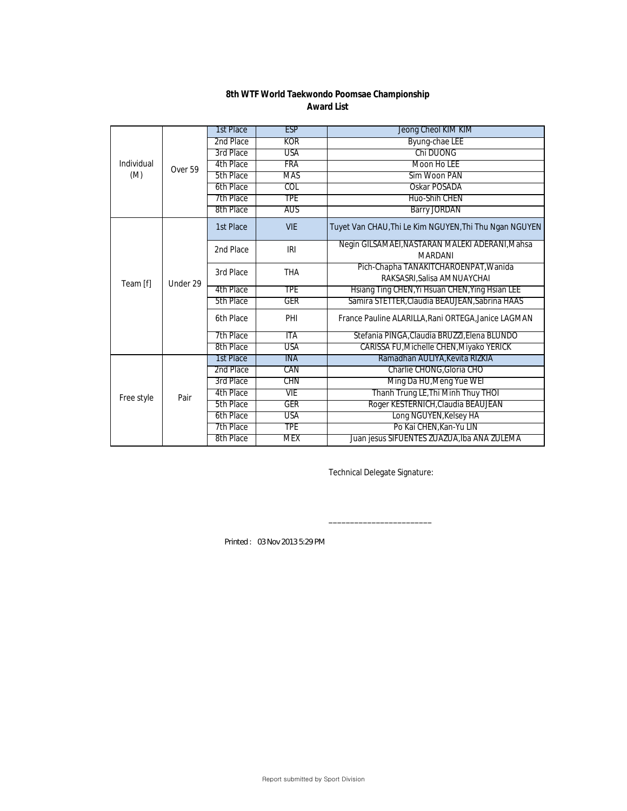|            | Over 59  | 1st Place | <b>ESP</b> | Jeong Cheol KIM KIM                                                  |
|------------|----------|-----------|------------|----------------------------------------------------------------------|
|            |          | 2nd Place | <b>KOR</b> | <b>Byung-chae LEE</b>                                                |
|            |          | 3rd Place | <b>USA</b> | Chi DUONG                                                            |
| Individual |          | 4th Place | FRA        | Moon Ho LEE                                                          |
| (M)        |          | 5th Place | MAS        | Sim Woon PAN                                                         |
|            |          | 6th Place | COL        | Oskar POSADA                                                         |
|            |          | 7th Place | <b>TPE</b> | Huo-Shih CHEN                                                        |
|            |          | 8th Place | aus        | <b>Barry JORDAN</b>                                                  |
| Team [f]   |          | 1st Place | <b>VIE</b> | Tuyet Van CHAU, Thi Le Kim NGUYEN, Thi Thu Ngan NGUYEN               |
|            | Under 29 | 2nd Place | IRI        | Negin GILSAMAEI, NASTARAN MALEKI ADERANI, Mahsa<br><b>MARDANI</b>    |
|            |          | 3rd Place | <b>THA</b> | Pich-Chapha TANAKITCHAROENPAT, Wanida<br>RAKSASRI, Salisa AMNUAYCHAI |
|            |          | 4th Place | <b>TPE</b> | Hsiang Ting CHEN, Yi Hsuan CHEN, Ying Hsian LEE                      |
|            |          | 5th Place | GER        | Samira STETTER, Claudia BEAUJEAN, Sabrina HAAS                       |
|            |          | 6th Place | PHI        | France Pauline ALARILLA, Rani ORTEGA, Janice LAGMAN                  |
|            |          | 7th Place | ITA        | Stefania PINGA, Claudia BRUZZI, Elena BLUNDO                         |
|            |          | 8th Place | USA        | CARISSA FU, Michelle CHEN, Miyako YERICK                             |
|            | Pair     | 1st Place | <b>INA</b> | Ramadhan AULIYA, Kevita RIZKIA                                       |
| Free style |          | 2nd Place | CAN        | Charlie CHONG, Gloria CHO                                            |
|            |          | 3rd Place | CHN        | Ming Da HU, Meng Yue WEI                                             |
|            |          | 4th Place | <b>VIE</b> | Thanh Trung LE, Thi Minh Thuy THOI                                   |
|            |          | 5th Place | <b>GER</b> | Roger KESTERNICH, Claudia BEAUJEAN                                   |
|            |          | 6th Place | USA        | Long NGUYEN, Kelsey HA                                               |
|            |          | 7th Place | <b>TPE</b> | Po Kai CHEN, Kan-Yu LIN                                              |
|            |          | 8th Place | <b>MEX</b> | Juan jesus SIFUENTES ZUAZUA, Iba ANA ZULEMA                          |

Technical Delegate Signature:

\_\_\_\_\_\_\_\_\_\_\_\_\_\_\_\_\_\_\_\_\_\_\_\_

*Printed : 03 Nov 2013 5:29 PM*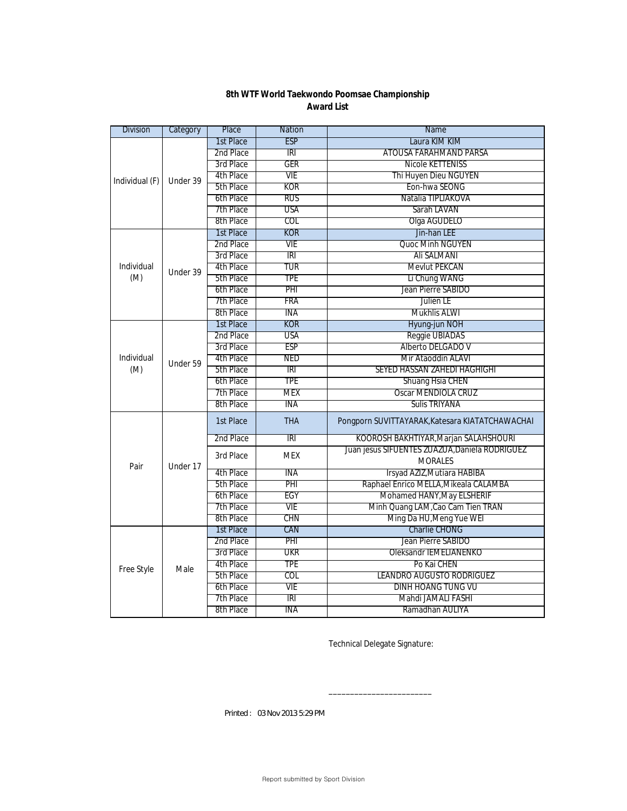| <b>Division</b> | Category | Place     | <b>Nation</b>   | Name                                            |
|-----------------|----------|-----------|-----------------|-------------------------------------------------|
|                 |          | 1st Place | <b>ESP</b>      | Laura KIM KIM                                   |
|                 |          | 2nd Place | $\overline{IR}$ | <b>ATOUSA FARAHMAND PARSA</b>                   |
|                 |          | 3rd Place | <b>GER</b>      | <b>Nicole KETTENISS</b>                         |
| Individual (F)  | Under 39 | 4th Place | VIE             | Thi Huyen Dieu NGUYEN                           |
|                 |          | 5th Place | KOR             | Eon-hwa SEONG                                   |
|                 |          | 6th Place | <b>RUS</b>      | Natalia TIPLIAKOVA                              |
|                 |          | 7th Place | USA             | Sarah LAVAN                                     |
|                 |          | 8th Place | COL             | Olga AGUDELO                                    |
|                 |          | 1st Place | <b>KOR</b>      | Jin-han LEE                                     |
|                 |          | 2nd Place | VIE             | Quoc Minh NGUYEN                                |
|                 |          | 3rd Place | iri             | Ali SALMANI                                     |
| Individual      | Under 39 | 4th Place | TUR             | Mevlut PEKCAN                                   |
| (M)             |          | 5th Place | TPE             | Li Chung WANG                                   |
|                 |          | 6th Place | PHI             | Jean Pierre SABIDO                              |
|                 |          | 7th Place | <b>FRA</b>      | Julien LE                                       |
|                 |          | 8th Place | ina             | Mukhlis ALWI                                    |
|                 |          | 1st Place | <b>KOR</b>      | Hyung-jun NOH                                   |
|                 |          | 2nd Place | <b>USA</b>      | Reggie UBIADAS                                  |
|                 |          | 3rd Place | ESP             | Alberto DELGADO V                               |
| Individual      | Under 59 | 4th Place | <b>NED</b>      | Mir Ataoddin ALAVI                              |
| (M)             |          | 5th Place | R               | SEYED HASSAN ZAHEDI HAGHIGHI                    |
|                 |          | 6th Place | <b>TPE</b>      | Shuang Hsia CHEN                                |
|                 |          | 7th Place | <b>MEX</b>      | Oscar MENDIOLA CRUZ                             |
|                 |          | 8th Place | INA             | <b>Sulis TRIYANA</b>                            |
|                 | Under 17 | 1st Place | <b>THA</b>      | Pongporn SUVITTAYARAK, Katesara KIATATCHAWACHAI |
|                 |          | 2nd Place | IRI             | KOOROSH BAKHTIYAR, Marjan SALAHSHOURI           |
|                 |          | 3rd Place | <b>MEX</b>      | Juan jesus SIFUENTES ZUAZUA, Daniela RODRIGUEZ  |
| Pair            |          |           |                 | <b>MORALES</b>                                  |
|                 |          | 4th Place | INA             | Irsyad AZIZ, Mutiara HABIBA                     |
|                 |          | 5th Place | PHI             | Raphael Enrico MELLA, Mikeala CALAMBA           |
|                 |          | 6th Place | EGY             | Mohamed HANY, May ELSHERIF                      |
|                 |          | 7th Place | VIE             | Minh Quang LAM, Cao Cam Tien TRAN               |
|                 |          | 8th Place | CHN             | Ming Da HU, Meng Yue WEI                        |
|                 |          | 1st Place | CAN             | <b>Charlie CHONG</b>                            |
| Free Style      |          | 2nd Place | PHI             | Jean Pierre SABIDO                              |
|                 |          | 3rd Place | UKR             | Oleksandr IEMELIANENKO                          |
|                 | Male     | 4th Place | <b>TPE</b>      | Po Kai CHEN                                     |
|                 |          | 5th Place | COL             | LEANDRO AUGUSTO RODRIGUEZ                       |
|                 |          | 6th Place | VIE             | <b>DINH HOANG TUNG VU</b>                       |
|                 |          | 7th Place | IRI             | Mahdi JAMALI FASHI                              |
|                 |          | 8th Place | ina             | Ramadhan AULIYA                                 |

Technical Delegate Signature:

\_\_\_\_\_\_\_\_\_\_\_\_\_\_\_\_\_\_\_\_\_\_\_\_

*Printed : 03 Nov 2013 5:29 PM*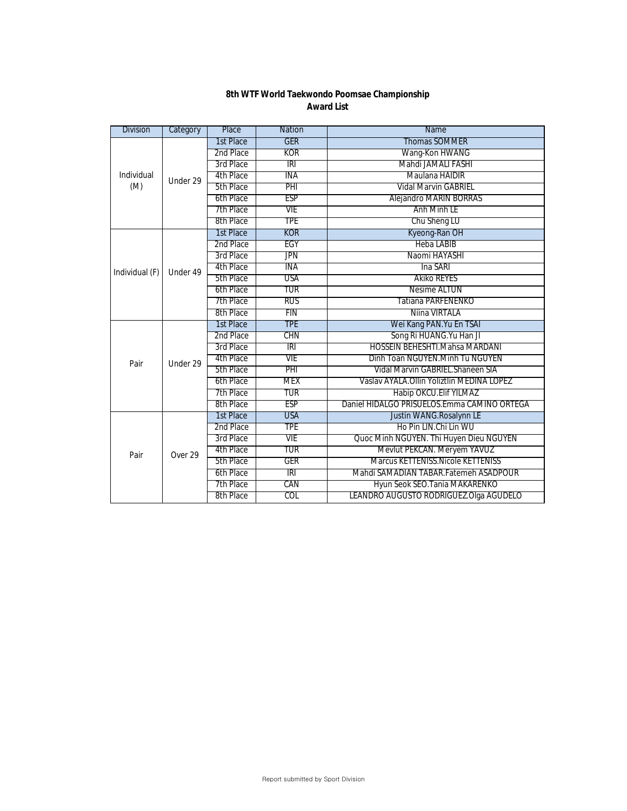| <b>Division</b> | Category           | Place     | <b>Nation</b> | Name                                         |
|-----------------|--------------------|-----------|---------------|----------------------------------------------|
|                 |                    | 1st Place | <b>GER</b>    | Thomas SOMMER                                |
|                 |                    | 2nd Place | <b>KOR</b>    | Wang-Kon HWANG                               |
|                 |                    | 3rd Place | IRI           | Mahdi JAMALI FASHI                           |
| Individual      | Under 29           | 4th Place | INA           | Maulana HAIDIR                               |
| (M)             |                    | 5th Place | PHI           | <b>Vidal Marvin GABRIEL</b>                  |
|                 |                    | 6th Place | <b>ESP</b>    | <b>Alejandro MARIN BORRAS</b>                |
|                 |                    | 7th Place | VIE           | Anh Minh LE                                  |
|                 |                    | 8th Place | <b>TPE</b>    | Chu Sheng LU                                 |
|                 |                    | 1st Place | <b>KOR</b>    | Kyeong-Ran OH                                |
|                 |                    | 2nd Place | EGY           | <b>Heba LABIB</b>                            |
|                 |                    | 3rd Place | <b>JPN</b>    | Naomi HAYASHI                                |
| Individual (F)  | Under 49           | 4th Place | ina           | Ina SARI                                     |
|                 |                    | 5th Place | USA           | Akiko REYES                                  |
|                 |                    | 6th Place | TUR           | Nesime ALTUN                                 |
|                 |                    | 7th Place | <b>RUS</b>    | Tatiana PARFENENKO                           |
|                 |                    | 8th Place | FIN           | Niina VIRTALA                                |
|                 | Under 29           | 1st Place | <b>TPE</b>    | Wei Kang PAN. Yu En TSAI                     |
|                 |                    | 2nd Place | CHN           | Song Ri HUANG. Yu Han JI                     |
|                 |                    | 3rd Place | iri           | <b>HOSSEIN BEHESHTI.Mahsa MARDANI</b>        |
| Pair            |                    | 4th Place | <b>VIE</b>    | Dinh Toan NGUYEN.Minh Tu NGUYEN              |
|                 |                    | 5th Place | PHI           | Vidal Marvin GABRIEL. Shaneen SIA            |
|                 |                    | 6th Place | MEX           | Vaslav AYALA. Ollin Yoliztlin MEDINA LOPEZ   |
|                 |                    | 7th Place | TUR           | Habip OKCU. Elif YILMAZ                      |
|                 |                    | 8th Place | <b>ESP</b>    | Daniel HIDALGO PRISUELOS. Emma CAMINO ORTEGA |
|                 |                    | 1st Place | <b>USA</b>    | Justin WANG.Rosalynn LE                      |
| Pair            | Over <sub>29</sub> | 2nd Place | <b>TPE</b>    | Ho Pin LIN.Chi Lin WU                        |
|                 |                    | 3rd Place | VIE           | Quoc Minh NGUYEN. Thi Huyen Dieu NGUYEN      |
|                 |                    | 4th Place | TUR           | Mevlut PEKCAN. Meryem YAVUZ                  |
|                 |                    | 5th Place | <b>GER</b>    | Marcus KETTENISS. Nicole KETTENISS           |
|                 |                    | 6th Place | <b>IRI</b>    | Mahdi SAMADIAN TABAR.Fatemeh ASADPOUR        |
|                 |                    | 7th Place | CAN           | Hyun Seok SEO. Tania MAKARENKO               |
|                 |                    | 8th Place | COL           | LEANDRO AUGUSTO RODRIGUEZ.Olga AGUDELO       |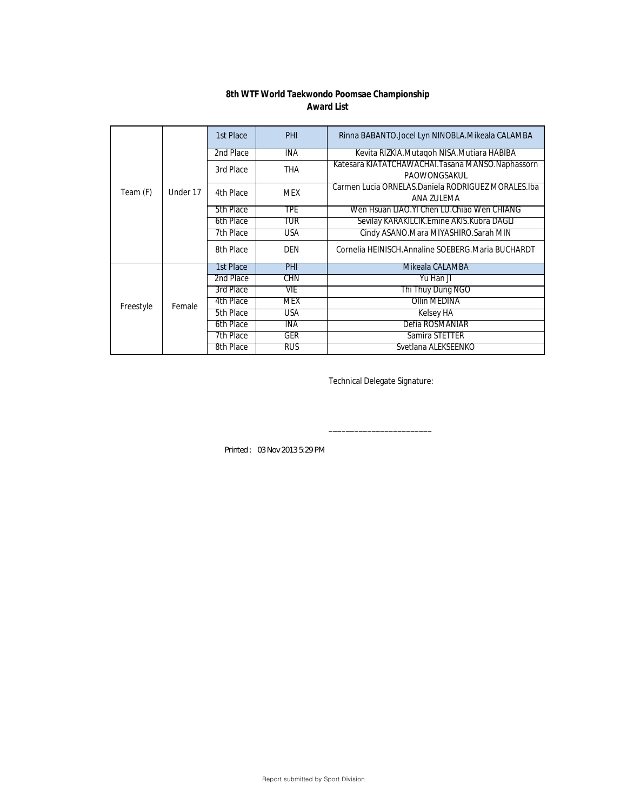|           | Under 17 | 1st Place | PHI        | Rinna BABANTO.Jocel Lyn NINOBLA.Mikeala CALAMBA                    |
|-----------|----------|-----------|------------|--------------------------------------------------------------------|
|           |          | 2nd Place | INA        | Kevita RIZKIA. Mutaqoh NISA. Mutiara HABIBA                        |
| Team (F)  |          | 3rd Place | <b>THA</b> | Katesara KIATATCHAWACHAI. Tasana MANSO. Naphassorn<br>PAOWONGSAKUL |
|           |          | 4th Place | <b>MEX</b> | Carmen Lucia ORNELAS. Daniela RODRIGUEZ MORALES. Iba<br>ANA ZULEMA |
|           |          | 5th Place | TPE        | Wen Hsuan LIAO.YI Chen LU.Chiao Wen CHIANG                         |
|           |          | 6th Place | TUR        | Sevilay KARAKILCIK.Emine AKIS.Kubra DAGLI                          |
|           |          | 7th Place | <b>USA</b> | Cindy ASANO. Mara MIYASHIRO. Sarah MIN                             |
|           |          | 8th Place | <b>DEN</b> | Cornelia HEINISCH. Annaline SOEBERG. Maria BUCHARDT                |
|           | Female   | 1st Place | PHI        | Mikeala CALAMBA                                                    |
|           |          | 2nd Place | <b>CHN</b> | Yu Han JI                                                          |
| Freestyle |          | 3rd Place | VIE        | Thi Thuy Dung NGO                                                  |
|           |          | 4th Place | <b>MEX</b> | Ollin MEDINA                                                       |
|           |          | 5th Place | USA        | <b>Kelsey HA</b>                                                   |
|           |          | 6th Place | <b>INA</b> | Defia ROSMANIAR                                                    |
|           |          | 7th Place | GER        | Samira STETTER                                                     |
|           |          | 8th Place | RUS        | Svetlana ALEKSEENKO                                                |

Technical Delegate Signature:

\_\_\_\_\_\_\_\_\_\_\_\_\_\_\_\_\_\_\_\_\_\_\_\_

*Printed : 03 Nov 2013 5:29 PM*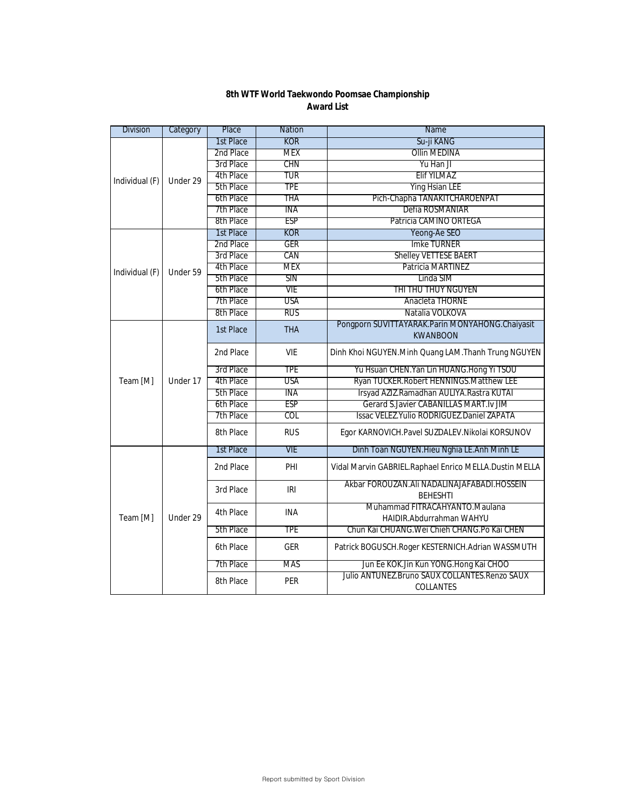| <b>Division</b> | Category             | Place     | <b>Nation</b> | Name                                                                 |
|-----------------|----------------------|-----------|---------------|----------------------------------------------------------------------|
|                 |                      | 1st Place | <b>KOR</b>    | Su-ji KANG                                                           |
|                 |                      | 2nd Place | <b>MEX</b>    | <b>Ollin MEDINA</b>                                                  |
|                 |                      | 3rd Place | CHN           | Yu Han JI                                                            |
| Individual (F)  | Under 29             | 4th Place | TUR           | Elif YILMAZ                                                          |
|                 |                      | 5th Place | <b>TPE</b>    | <b>Ying Hsian LEE</b>                                                |
|                 |                      | 6th Place | tha           | Pich-Chapha TANAKITCHAROENPAT                                        |
|                 |                      | 7th Place | ina           | Defia ROSMANIAR                                                      |
|                 |                      | 8th Place | <b>ESP</b>    | Patricia CAMINO ORTEGA                                               |
|                 |                      | 1st Place | KOR           | Yeong-Ae SEO                                                         |
|                 |                      | 2nd Place | <b>GER</b>    | <b>Imke TURNER</b>                                                   |
|                 |                      | 3rd Place | CAN           | <b>Shelley VETTESE BAERT</b>                                         |
| Individual (F)  | Under 59             | 4th Place | <b>MEX</b>    | Patricia MARTINEZ                                                    |
|                 |                      | 5th Place | SIN           | Linda SIM                                                            |
|                 |                      | 6th Place | VIE           | THI THU THUY NGUYEN                                                  |
|                 |                      | 7th Place | <b>USA</b>    | Anacleta THORNE                                                      |
|                 |                      | 8th Place | rus           | Natalia VOLKOVA                                                      |
|                 | Under 17<br>Under 29 | 1st Place | <b>THA</b>    | Pongporn SUVITTAYARAK. Parin MONYAHONG. Chaiyasit<br><b>KWANBOON</b> |
|                 |                      | 2nd Place | <b>VIE</b>    | Dinh Khoi NGUYEN.Minh Quang LAM.Thanh Trung NGUYEN                   |
|                 |                      | 3rd Place | <b>TPE</b>    | Yu Hsuan CHEN. Yan Lin HUANG. Hong Yi TSOU                           |
| Team [M]        |                      | 4th Place | <b>USA</b>    | Ryan TUCKER. Robert HENNINGS. Matthew LEE                            |
|                 |                      | 5th Place | INA           | Irsyad AZIZ.Ramadhan AULIYA.Rastra KUTAI                             |
|                 |                      | 6th Place | <b>ESP</b>    | Gerard S.Javier CABANILLAS MART.Iv JIM                               |
|                 |                      | 7th Place | COL           | Issac VELEZ. Yulio RODRIGUEZ. Daniel ZAPATA                          |
|                 |                      | 8th Place | <b>RUS</b>    | Egor KARNOVICH.Pavel SUZDALEV.Nikolai KORSUNOV                       |
|                 |                      | 1st Place | <b>VIE</b>    | Dinh Toan NGUYEN. Hieu Nghia LE. Anh Minh LE                         |
|                 |                      | 2nd Place | PHI           | Vidal Marvin GABRIEL.Raphael Enrico MELLA.Dustin MELLA               |
| Team [M]        |                      | 3rd Place | IRI           | Akbar FOROUZAN.AII NADALINAJAFABADI.HOSSEIN<br><b>BEHESHTI</b>       |
|                 |                      | 4th Place | <b>INA</b>    | Muhammad FITRACAHYANTO.Maulana<br>HAIDIR.Abdurrahman WAHYU           |
|                 |                      | 5th Place | <b>TPE</b>    | Chun Kai CHUANG. Wei Chieh CHANG. Po Kai CHEN                        |
|                 |                      | 6th Place | <b>GER</b>    | Patrick BOGUSCH.Roger KESTERNICH.Adrian WASSMUTH                     |
|                 |                      | 7th Place | <b>MAS</b>    | Jun Ee KOK.Jin Kun YONG.Hong Kai CHOO                                |
|                 |                      | 8th Place | <b>PER</b>    | Julio ANTUNEZ.Bruno SAUX COLLANTES.Renzo SAUX<br>COLLANTES           |